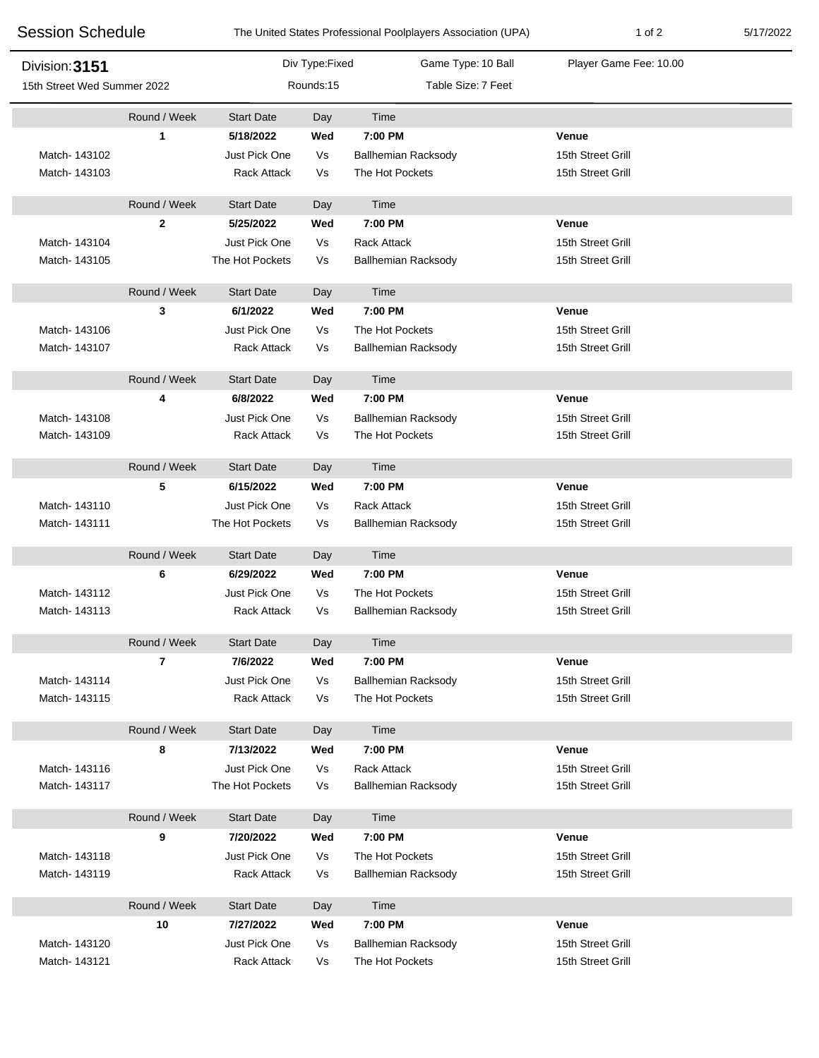| <b>Session Schedule</b><br>Division: 3151<br>15th Street Wed Summer 2022 |                |                    |                | The United States Professional Poolplayers Association (UPA) | 1 of 2                 | 5/17/2022 |
|--------------------------------------------------------------------------|----------------|--------------------|----------------|--------------------------------------------------------------|------------------------|-----------|
|                                                                          |                |                    | Div Type:Fixed | Game Type: 10 Ball                                           | Player Game Fee: 10.00 |           |
|                                                                          |                | Rounds:15          |                | Table Size: 7 Feet                                           |                        |           |
|                                                                          | Round / Week   | <b>Start Date</b>  | Day            | Time                                                         |                        |           |
|                                                                          | 1              | 5/18/2022          | Wed            | 7:00 PM                                                      | Venue                  |           |
| Match- 143102                                                            |                | Just Pick One      | Vs             | <b>Ballhemian Racksody</b>                                   | 15th Street Grill      |           |
| Match-143103                                                             |                | Rack Attack        | Vs             | The Hot Pockets                                              | 15th Street Grill      |           |
|                                                                          | Round / Week   | <b>Start Date</b>  | Day            | Time                                                         |                        |           |
|                                                                          | $\mathbf{2}$   | 5/25/2022          | Wed            | 7:00 PM                                                      | Venue                  |           |
| Match-143104                                                             |                | Just Pick One      | Vs             | <b>Rack Attack</b>                                           | 15th Street Grill      |           |
| Match-143105                                                             |                | The Hot Pockets    | Vs             | <b>Ballhemian Racksody</b>                                   | 15th Street Grill      |           |
|                                                                          | Round / Week   | <b>Start Date</b>  | Day            | Time                                                         |                        |           |
|                                                                          | 3              | 6/1/2022           | Wed            | 7:00 PM                                                      | Venue                  |           |
| Match-143106                                                             |                | Just Pick One      | Vs             | The Hot Pockets                                              | 15th Street Grill      |           |
| Match- 143107                                                            |                | <b>Rack Attack</b> | Vs             | <b>Ballhemian Racksody</b>                                   | 15th Street Grill      |           |
|                                                                          | Round / Week   | <b>Start Date</b>  | Day            | Time                                                         |                        |           |
|                                                                          | 4              | 6/8/2022           | Wed            | 7:00 PM                                                      | Venue                  |           |
| Match-143108                                                             |                | Just Pick One      | Vs             | <b>Ballhemian Racksody</b>                                   | 15th Street Grill      |           |
| Match- 143109                                                            |                | <b>Rack Attack</b> | Vs             | The Hot Pockets                                              | 15th Street Grill      |           |
|                                                                          | Round / Week   | <b>Start Date</b>  | Day            | Time                                                         |                        |           |
|                                                                          | 5              | 6/15/2022          | Wed            | 7:00 PM                                                      | Venue                  |           |
| Match-143110                                                             |                | Just Pick One      | Vs             | <b>Rack Attack</b>                                           | 15th Street Grill      |           |
| Match-143111                                                             |                | The Hot Pockets    | Vs             | <b>Ballhemian Racksody</b>                                   | 15th Street Grill      |           |
|                                                                          | Round / Week   | <b>Start Date</b>  | Day            | Time                                                         |                        |           |
|                                                                          | 6              | 6/29/2022          | Wed            | 7:00 PM                                                      | Venue                  |           |
| Match-143112                                                             |                | Just Pick One      | Vs             | The Hot Pockets                                              | 15th Street Grill      |           |
| Match-143113                                                             |                | <b>Rack Attack</b> | Vs             | <b>Ballhemian Racksody</b>                                   | 15th Street Grill      |           |
|                                                                          | Round / Week   | <b>Start Date</b>  | Day            | Time                                                         |                        |           |
|                                                                          | $\overline{7}$ | 7/6/2022           | Wed            | 7:00 PM                                                      | Venue                  |           |
| Match-143114                                                             |                | Just Pick One      | Vs             | <b>Ballhemian Racksody</b>                                   | 15th Street Grill      |           |
| Match-143115                                                             |                | <b>Rack Attack</b> | Vs             | The Hot Pockets                                              | 15th Street Grill      |           |
|                                                                          | Round / Week   | <b>Start Date</b>  | Day            | Time                                                         |                        |           |
|                                                                          | 8              | 7/13/2022          | Wed            | 7:00 PM                                                      | Venue                  |           |
| Match-143116                                                             |                | Just Pick One      | Vs             | <b>Rack Attack</b>                                           | 15th Street Grill      |           |
| Match-143117                                                             |                | The Hot Pockets    | Vs             | <b>Ballhemian Racksody</b>                                   | 15th Street Grill      |           |
|                                                                          | Round / Week   | <b>Start Date</b>  | Day            | Time                                                         |                        |           |
|                                                                          | 9              | 7/20/2022          | Wed            | 7:00 PM                                                      | Venue                  |           |
| Match-143118                                                             |                | Just Pick One      | Vs             | The Hot Pockets                                              | 15th Street Grill      |           |
| Match-143119                                                             |                | <b>Rack Attack</b> | Vs             | Ballhemian Racksody                                          | 15th Street Grill      |           |
|                                                                          | Round / Week   | <b>Start Date</b>  | Day            | Time                                                         |                        |           |
|                                                                          | 10             | 7/27/2022          | Wed            | 7:00 PM                                                      | Venue                  |           |
| Match-143120                                                             |                | Just Pick One      | Vs             | <b>Ballhemian Racksody</b>                                   | 15th Street Grill      |           |
| Match-143121                                                             |                | Rack Attack        | Vs             | The Hot Pockets                                              | 15th Street Grill      |           |